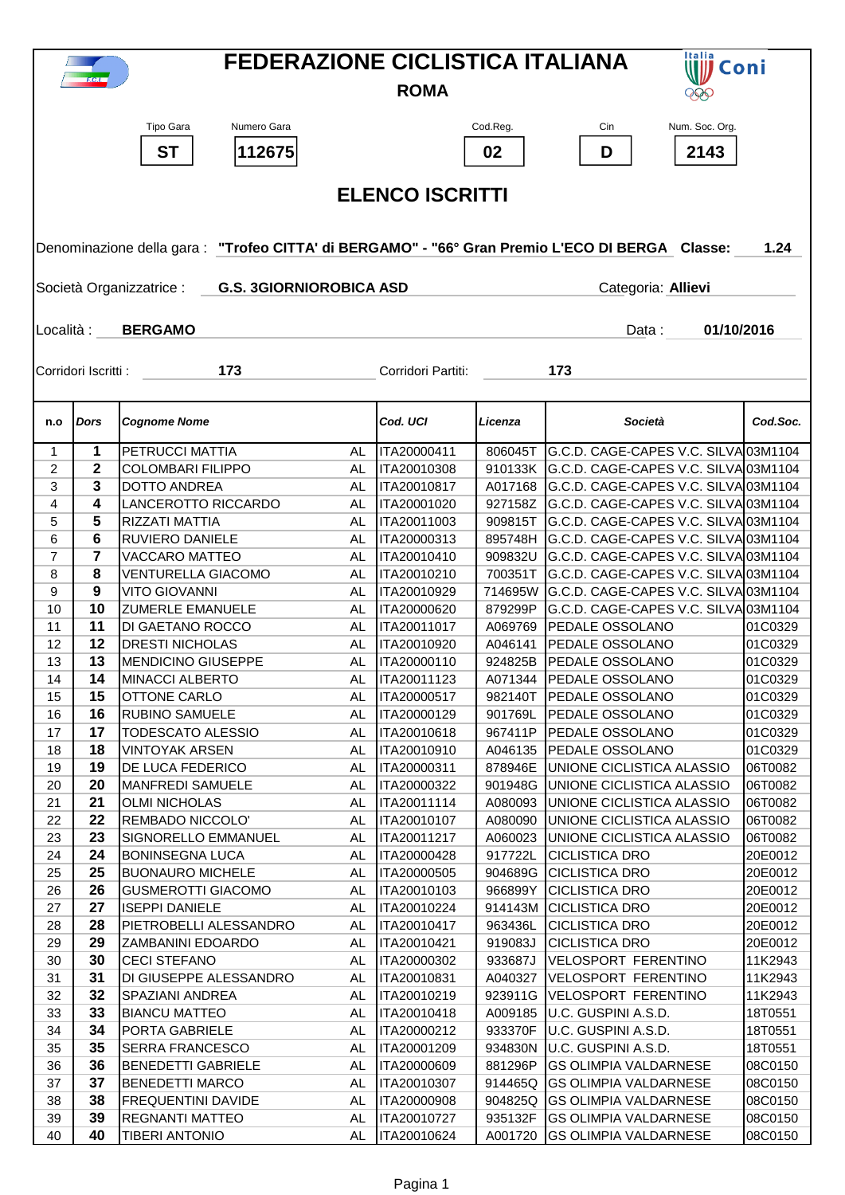| <b>FEDERAZIONE CICLISTICA ITALIANA</b><br>Italia<br>Coni<br><b>ROMA</b><br>99P |                                                                                                         |                                                    |           |                            |                    |                                                                              |                    |  |  |
|--------------------------------------------------------------------------------|---------------------------------------------------------------------------------------------------------|----------------------------------------------------|-----------|----------------------------|--------------------|------------------------------------------------------------------------------|--------------------|--|--|
|                                                                                |                                                                                                         | Numero Gara<br>Tipo Gara<br><b>ST</b><br>112675    |           |                            | Cod.Reg.<br>02     | Num. Soc. Org.<br>Cin<br>D<br>2143                                           |                    |  |  |
|                                                                                | <b>ELENCO ISCRITTI</b>                                                                                  |                                                    |           |                            |                    |                                                                              |                    |  |  |
|                                                                                |                                                                                                         |                                                    |           |                            |                    |                                                                              |                    |  |  |
|                                                                                | Denominazione della gara : "Trofeo CITTA' di BERGAMO" - "66° Gran Premio L'ECO DI BERGA Classe:<br>1.24 |                                                    |           |                            |                    |                                                                              |                    |  |  |
|                                                                                | Società Organizzatrice :<br><b>G.S. 3GIORNIOROBICA ASD</b><br>Categoria: Allievi                        |                                                    |           |                            |                    |                                                                              |                    |  |  |
| Località :                                                                     |                                                                                                         | <b>BERGAMO</b>                                     |           |                            |                    | Data:<br>01/10/2016                                                          |                    |  |  |
|                                                                                |                                                                                                         |                                                    |           |                            |                    |                                                                              |                    |  |  |
|                                                                                | Corridori Iscritti :                                                                                    | 173                                                |           | Corridori Partiti:         |                    | 173                                                                          |                    |  |  |
|                                                                                | Dors                                                                                                    | <b>Cognome Nome</b>                                |           | Cod. UCI                   | Licenza            | Società                                                                      | Cod.Soc.           |  |  |
| n.o                                                                            |                                                                                                         |                                                    |           |                            |                    |                                                                              |                    |  |  |
| 1                                                                              | 1                                                                                                       | PETRUCCI MATTIA                                    | AL        | ITA20000411                | 806045T            | G.C.D. CAGE-CAPES V.C. SILVA 03M1104                                         |                    |  |  |
| 2<br>3                                                                         | 2<br>3                                                                                                  | <b>COLOMBARI FILIPPO</b><br>DOTTO ANDREA           | AL<br>AL  | ITA20010308<br>ITA20010817 | 910133K<br>A017168 | G.C.D. CAGE-CAPES V.C. SILVA 03M1104<br>G.C.D. CAGE-CAPES V.C. SILVA 03M1104 |                    |  |  |
| 4                                                                              | 4                                                                                                       | LANCEROTTO RICCARDO                                | AL        | ITA20001020                | 927158Z            | G.C.D. CAGE-CAPES V.C. SILVA 03M1104                                         |                    |  |  |
| 5                                                                              | 5                                                                                                       | RIZZATI MATTIA                                     | AL        | ITA20011003                | 909815T            | G.C.D. CAGE-CAPES V.C. SILVA 03M1104                                         |                    |  |  |
| 6                                                                              | 6                                                                                                       | <b>RUVIERO DANIELE</b>                             | AL        | ITA20000313                | 895748H            | G.C.D. CAGE-CAPES V.C. SILVA 03M1104                                         |                    |  |  |
| 7                                                                              | 7                                                                                                       | VACCARO MATTEO                                     | AL        | ITA20010410                | 909832U            | G.C.D. CAGE-CAPES V.C. SILVA 03M1104                                         |                    |  |  |
| 8                                                                              | 8                                                                                                       | <b>VENTURELLA GIACOMO</b>                          | AL        | ITA20010210                | 700351T            | G.C.D. CAGE-CAPES V.C. SILVA 03M1104                                         |                    |  |  |
| 9                                                                              | 9                                                                                                       | <b>VITO GIOVANNI</b>                               | AL        | ITA20010929                | 714695W            | G.C.D. CAGE-CAPES V.C. SILVA 03M1104                                         |                    |  |  |
| 10                                                                             | 10                                                                                                      | <b>ZUMERLE EMANUELE</b>                            | AL        | ITA20000620                | 879299P            | G.C.D. CAGE-CAPES V.C. SILVA 03M1104                                         |                    |  |  |
| 11                                                                             | 11                                                                                                      | <b>DI GAETANO ROCCO</b>                            | AL        | ITA20011017                | A069769            | <b>PEDALE OSSOLANO</b>                                                       | 01C0329            |  |  |
| 12                                                                             | 12                                                                                                      | <b>DRESTI NICHOLAS</b>                             | AL        | ITA20010920                | A046141            | <b>PEDALE OSSOLANO</b>                                                       | 01C0329            |  |  |
| 13                                                                             | 13                                                                                                      | <b>MENDICINO GIUSEPPE</b>                          | AL        | ITA20000110                |                    | 924825B PEDALE OSSOLANO                                                      | 01C0329            |  |  |
| 14                                                                             | 14                                                                                                      | MINACCI ALBERTO                                    | <b>AL</b> | ITA20011123                |                    | A071344 PEDALE OSSOLANO                                                      | 01C0329            |  |  |
| 15                                                                             | 15<br>16                                                                                                | OTTONE CARLO                                       | AL        | ITA20000517                | 982140T            | <b>PEDALE OSSOLANO</b><br>PEDALE OSSOLANO                                    | 01C0329            |  |  |
| 16<br>17                                                                       | 17                                                                                                      | <b>RUBINO SAMUELE</b><br>TODESCATO ALESSIO         | AL<br>AL  | ITA20000129<br>ITA20010618 | 901769L<br>967411P | PEDALE OSSOLANO                                                              | 01C0329<br>01C0329 |  |  |
| 18                                                                             | 18                                                                                                      | <b>VINTOYAK ARSEN</b>                              | AL        | ITA20010910                | A046135            | PEDALE OSSOLANO                                                              | 01C0329            |  |  |
| 19                                                                             | 19                                                                                                      | DE LUCA FEDERICO                                   | AL        | ITA20000311                | 878946E            | UNIONE CICLISTICA ALASSIO                                                    | 06T0082            |  |  |
| 20                                                                             | 20                                                                                                      | <b>MANFREDI SAMUELE</b>                            | AL        | ITA20000322                | 901948G            | UNIONE CICLISTICA ALASSIO                                                    | 06T0082            |  |  |
| 21                                                                             | 21                                                                                                      | <b>OLMI NICHOLAS</b>                               | AL        | ITA20011114                | A080093            | UNIONE CICLISTICA ALASSIO                                                    | 06T0082            |  |  |
| 22                                                                             | 22                                                                                                      | REMBADO NICCOLO'                                   | AL        | ITA20010107                | A080090            | UNIONE CICLISTICA ALASSIO                                                    | 06T0082            |  |  |
| 23                                                                             | 23                                                                                                      | SIGNORELLO EMMANUEL                                | AL        | ITA20011217                | A060023            | UNIONE CICLISTICA ALASSIO                                                    | 06T0082            |  |  |
| 24                                                                             | 24                                                                                                      | <b>BONINSEGNA LUCA</b>                             | AL        | ITA20000428                | 917722L            | <b>CICLISTICA DRO</b>                                                        | 20E0012            |  |  |
| 25                                                                             | 25                                                                                                      | <b>BUONAURO MICHELE</b>                            | AL        | ITA20000505                | 904689G            | <b>CICLISTICA DRO</b>                                                        | 20E0012            |  |  |
| 26<br>27                                                                       | 26<br>27                                                                                                | <b>GUSMEROTTI GIACOMO</b><br><b>ISEPPI DANIELE</b> | AL<br>AL  | ITA20010103<br>ITA20010224 | 966899Y            | <b>CICLISTICA DRO</b><br><b>CICLISTICA DRO</b>                               | 20E0012<br>20E0012 |  |  |
| 28                                                                             | 28                                                                                                      | PIETROBELLI ALESSANDRO                             | AL        | ITA20010417                | 914143M<br>963436L | <b>CICLISTICA DRO</b>                                                        | 20E0012            |  |  |
| 29                                                                             | 29                                                                                                      | <b>ZAMBANINI EDOARDO</b>                           | AL        | ITA20010421                | 919083J            | <b>CICLISTICA DRO</b>                                                        | 20E0012            |  |  |
| 30                                                                             | 30                                                                                                      | <b>CECI STEFANO</b>                                | AL        | ITA20000302                | 933687J            | VELOSPORT FERENTINO                                                          | 11K2943            |  |  |
| 31                                                                             | 31                                                                                                      | DI GIUSEPPE ALESSANDRO                             | AL        | ITA20010831                | A040327            | VELOSPORT FERENTINO                                                          | 11K2943            |  |  |
| 32                                                                             | 32                                                                                                      | SPAZIANI ANDREA                                    | AL        | ITA20010219                | 923911G            | <b>VELOSPORT FERENTINO</b>                                                   | 11K2943            |  |  |
| 33                                                                             | 33                                                                                                      | <b>BIANCU MATTEO</b>                               | AL        | ITA20010418                | A009185            | U.C. GUSPINI A.S.D.                                                          | 18T0551            |  |  |
| 34                                                                             | 34                                                                                                      | PORTA GABRIELE                                     | AL        | ITA20000212                | 933370F            | U.C. GUSPINI A.S.D.                                                          | 18T0551            |  |  |
| 35                                                                             | 35                                                                                                      | <b>SERRA FRANCESCO</b>                             | AL        | ITA20001209                | 934830N            | U.C. GUSPINI A.S.D.                                                          | 18T0551            |  |  |
| 36                                                                             | 36                                                                                                      | <b>BENEDETTI GABRIELE</b>                          | AL        | ITA20000609                | 881296P            | <b>GS OLIMPIA VALDARNESE</b>                                                 | 08C0150            |  |  |
| 37<br>38                                                                       | 37<br>38                                                                                                | <b>BENEDETTI MARCO</b><br>FREQUENTINI DAVIDE       | AL<br>AL  | ITA20010307<br>ITA20000908 | 914465Q<br>904825Q | <b>GS OLIMPIA VALDARNESE</b><br><b>GS OLIMPIA VALDARNESE</b>                 | 08C0150<br>08C0150 |  |  |
| 39                                                                             | 39                                                                                                      | <b>REGNANTI MATTEO</b>                             | AL        | ITA20010727                | 935132F            | <b>GS OLIMPIA VALDARNESE</b>                                                 | 08C0150            |  |  |
| 40                                                                             | 40                                                                                                      | <b>TIBERI ANTONIO</b>                              | AL        | ITA20010624                | A001720            | <b>GS OLIMPIA VALDARNESE</b>                                                 | 08C0150            |  |  |
|                                                                                |                                                                                                         |                                                    |           |                            |                    |                                                                              |                    |  |  |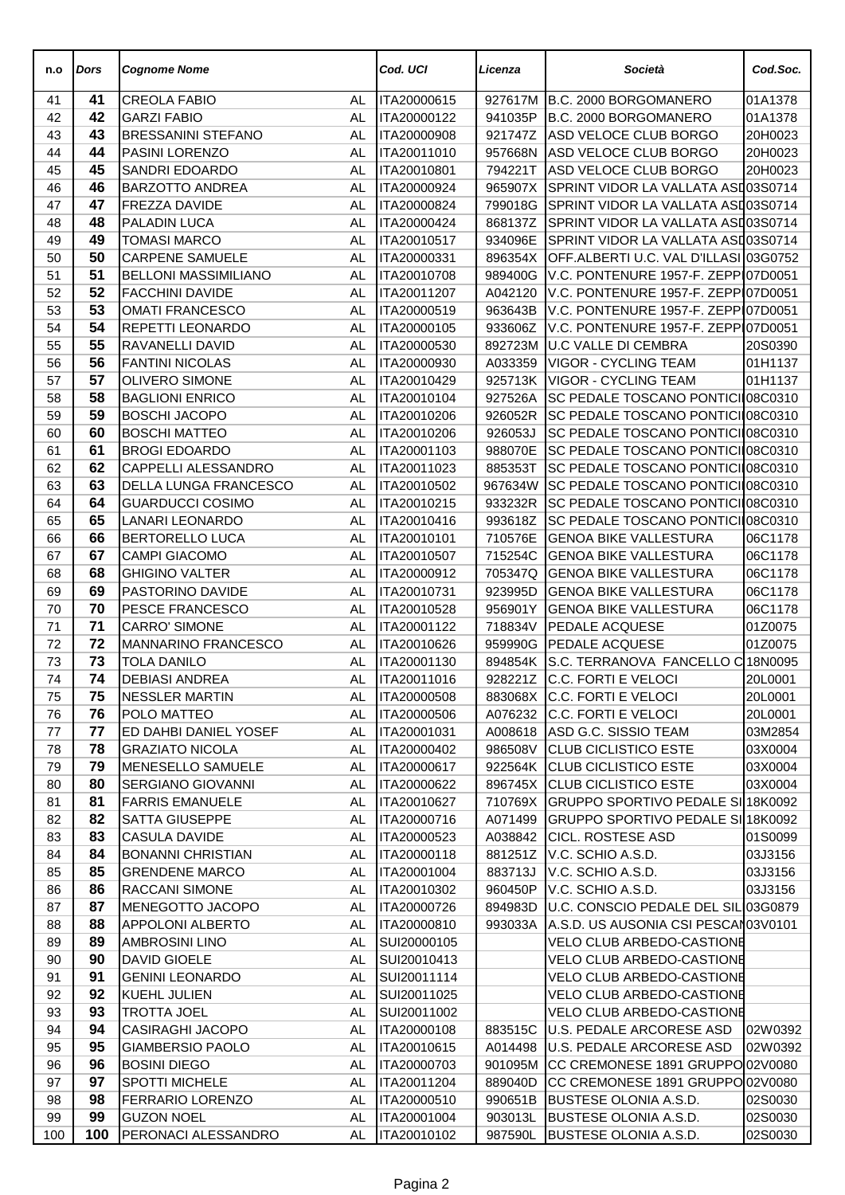| n.o      | Dors     | Cognome Nome                               |           | Cod. UCI                   | Licenza            | Società                                                                    | Cod.Soc.           |
|----------|----------|--------------------------------------------|-----------|----------------------------|--------------------|----------------------------------------------------------------------------|--------------------|
| 41       | 41       | <b>CREOLA FABIO</b>                        | AL        | ITA20000615                | 927617M            | B.C. 2000 BORGOMANERO                                                      | 01A1378            |
| 42       | 42       | <b>GARZI FABIO</b>                         | AL        | ITA20000122                | 941035P            | B.C. 2000 BORGOMANERO                                                      | 01A1378            |
| 43       | 43       | <b>BRESSANINI STEFANO</b>                  | AL        | ITA20000908                | 921747Z            | ASD VELOCE CLUB BORGO                                                      | 20H0023            |
| 44       | 44       | PASINI LORENZO                             | AL        | ITA20011010                | 957668N            | ASD VELOCE CLUB BORGO                                                      | 20H0023            |
| 45       | 45       | SANDRI EDOARDO                             | AL        | ITA20010801                | 794221T            | ASD VELOCE CLUB BORGO                                                      | 20H0023            |
| 46       | 46       | BARZOTTO ANDREA                            | AL        | ITA20000924                | 965907X            | SPRINT VIDOR LA VALLATA ASI 03S0714                                        |                    |
| 47       | 47       | FREZZA DAVIDE                              | AL        | ITA20000824                | 799018G            | SPRINT VIDOR LA VALLATA ASI 03S0714                                        |                    |
| 48       | 48       | PALADIN LUCA                               | AL        | ITA20000424                | 868137Z            | SPRINT VIDOR LA VALLATA ASI 03S0714                                        |                    |
| 49       | 49       | <b>TOMASI MARCO</b>                        | <b>AL</b> | ITA20010517                | 934096E            | SPRINT VIDOR LA VALLATA ASI 03S0714                                        |                    |
| 50       | 50       | <b>CARPENE SAMUELE</b>                     | AL        | ITA20000331                | 896354X            | OFF.ALBERTI U.C. VAL D'ILLASI 03G0752                                      |                    |
| 51       | 51       | <b>BELLONI MASSIMILIANO</b>                | AL        | ITA20010708                | 989400G            | V.C. PONTENURE 1957-F. ZEPP 07D0051                                        |                    |
| 52       | 52<br>53 | <b>FACCHINI DAVIDE</b>                     | AL        | ITA20011207<br>ITA20000519 | A042120            | V.C. PONTENURE 1957-F. ZEPP 07D0051<br>V.C. PONTENURE 1957-F. ZEPP 07D0051 |                    |
| 53       | 54       | <b>OMATI FRANCESCO</b><br>REPETTI LEONARDO | AL        |                            | 963643B            |                                                                            |                    |
| 54       | 55       | RAVANELLI DAVID                            | AL<br>AL  | ITA20000105<br>ITA20000530 | 933606Z<br>892723M | V.C. PONTENURE 1957-F. ZEPP 07D0051<br>U.C VALLE DI CEMBRA                 |                    |
| 55<br>56 | 56       | <b>FANTINI NICOLAS</b>                     | <b>AL</b> | ITA20000930                | A033359            | <b>VIGOR - CYCLING TEAM</b>                                                | 20S0390<br>01H1137 |
| 57       | 57       | <b>OLIVERO SIMONE</b>                      | AL        | ITA20010429                | 925713K            | <b>VIGOR - CYCLING TEAM</b>                                                | 01H1137            |
| 58       | 58       | <b>BAGLIONI ENRICO</b>                     | AL        | ITA20010104                | 927526A            | SC PEDALE TOSCANO PONTICI 08C0310                                          |                    |
| 59       | 59       | <b>BOSCHI JACOPO</b>                       | AL        | ITA20010206                | 926052R            | SC PEDALE TOSCANO PONTICI 08C0310                                          |                    |
| 60       | 60       | <b>BOSCHI MATTEO</b>                       | AL        | ITA20010206                | 926053J            | SC PEDALE TOSCANO PONTICII08C0310                                          |                    |
| 61       | 61       | <b>BROGI EDOARDO</b>                       | AL        | ITA20001103                | 988070E            | SC PEDALE TOSCANO PONTICII08C0310                                          |                    |
| 62       | 62       | CAPPELLI ALESSANDRO                        | AL        | ITA20011023                | 885353T            | SC PEDALE TOSCANO PONTICII08C0310                                          |                    |
| 63       | 63       | DELLA LUNGA FRANCESCO                      | AL        | ITA20010502                | 967634W            | SC PEDALE TOSCANO PONTICI 08C0310                                          |                    |
| 64       | 64       | <b>GUARDUCCI COSIMO</b>                    | AL        | ITA20010215                | 933232R            | <b>SC PEDALE TOSCANO PONTICI 08C0310</b>                                   |                    |
| 65       | 65       | LANARI LEONARDO                            | AL        | ITA20010416                | 993618Z            | SC PEDALE TOSCANO PONTICI 08C0310                                          |                    |
| 66       | 66       | <b>BERTORELLO LUCA</b>                     | AL        | ITA20010101                | 710576E            | <b>GENOA BIKE VALLESTURA</b>                                               | 06C1178            |
| 67       | 67       | <b>CAMPI GIACOMO</b>                       | AL        | ITA20010507                | 715254C            | <b>GENOA BIKE VALLESTURA</b>                                               | 06C1178            |
| 68       | 68       | <b>GHIGINO VALTER</b>                      | AL        | ITA20000912                | 705347Q            | <b>GENOA BIKE VALLESTURA</b>                                               | 06C1178            |
| 69       | 69       | PASTORINO DAVIDE                           | AL        | ITA20010731                | 923995D            | <b>GENOA BIKE VALLESTURA</b>                                               | 06C1178            |
| 70       | 70       | PESCE FRANCESCO                            | AL        | ITA20010528                | 956901Y            | <b>GENOA BIKE VALLESTURA</b>                                               | 06C1178            |
| 71       | 71       | <b>CARRO' SIMONE</b>                       | AL        | ITA20001122                | 718834V            | <b>PEDALE ACQUESE</b>                                                      | 01Z0075            |
| 72       | 72       | MANNARINO FRANCESCO                        | AL        | ITA20010626                | 959990G            | <b>PEDALE ACQUESE</b>                                                      | 01Z0075            |
| 73       | 73       | TOLA DANILO                                | AL        | ITA20001130                | 894854K            | S.C. TERRANOVA FANCELLO C18N0095                                           |                    |
| 74       | 74       | <b>DEBIASI ANDREA</b>                      | AL        | ITA20011016                |                    | 928221Z C.C. FORTI E VELOCI                                                | 20L0001            |
| 75       | 75       | <b>NESSLER MARTIN</b>                      | AL        | ITA20000508                |                    | 883068X C.C. FORTI E VELOCI                                                | 20L0001            |
| 76       | 76       | POLO MATTEO                                | AL        | ITA20000506                | A076232            | C.C. FORTI E VELOCI                                                        | 20L0001            |
| 77       | 77       | ED DAHBI DANIEL YOSEF                      | AL        | ITA20001031                | A008618            | ASD G.C. SISSIO TEAM                                                       | 03M2854            |
| 78       | 78       | <b>GRAZIATO NICOLA</b>                     | AL        | ITA20000402                | 986508V            | CLUB CICLISTICO ESTE                                                       | 03X0004            |
| 79       | 79       | MENESELLO SAMUELE                          | AL.       | ITA20000617                | 922564K            | CLUB CICLISTICO ESTE                                                       | 03X0004            |
| 80       | 80       | SERGIANO GIOVANNI                          | AL        | ITA20000622                | 896745X            | <b>CLUB CICLISTICO ESTE</b>                                                | 03X0004            |
| 81       | 81       | <b>FARRIS EMANUELE</b>                     | AL        | ITA20010627                | 710769X            | GRUPPO SPORTIVO PEDALE SI 18K0092                                          |                    |
| 82       | 82       | SATTA GIUSEPPE                             | AL        | ITA20000716                | A071499            | GRUPPO SPORTIVO PEDALE SI 18K0092                                          |                    |
| 83       | 83       | CASULA DAVIDE                              | AL        | ITA20000523                | A038842            | <b>CICL. ROSTESE ASD</b>                                                   | 01S0099            |
| 84       | 84       | <b>BONANNI CHRISTIAN</b>                   | AL.       | ITA20000118                | 881251Z            | V.C. SCHIO A.S.D.                                                          | 03J3156            |
| 85       | 85       | <b>GRENDENE MARCO</b>                      | AL        | ITA20001004                | 883713J            | V.C. SCHIO A.S.D.                                                          | 03J3156            |
| 86       | 86       | RACCANI SIMONE                             | AL.       | ITA20010302                | 960450P            | V.C. SCHIO A.S.D.                                                          | 03J3156            |
| 87       | 87       | MENEGOTTO JACOPO                           | AL.       | ITA20000726                | 894983D            | U.C. CONSCIO PEDALE DEL SIL 03G0879                                        |                    |
| 88       | 88       | APPOLONI ALBERTO                           | AL.       | ITA20000810                | 993033A            | A.S.D. US AUSONIA CSI PESCAN03V0101                                        |                    |
| 89       | 89       | <b>AMBROSINI LINO</b>                      | AL        | SUI20000105                |                    | VELO CLUB ARBEDO-CASTIONE                                                  |                    |
| 90       | 90       | <b>DAVID GIOELE</b>                        | AL        | SUI20010413                |                    | VELO CLUB ARBEDO-CASTIONE                                                  |                    |
| 91       | 91<br>92 | <b>GENINI LEONARDO</b>                     | AL        | SUI20011114                |                    | VELO CLUB ARBEDO-CASTIONE                                                  |                    |
| 92       | 93       | KUEHL JULIEN                               | AL        | SUI20011025<br>SUI20011002 |                    | VELO CLUB ARBEDO-CASTIONE                                                  |                    |
| 93<br>94 | 94       | TROTTA JOEL<br>CASIRAGHI JACOPO            | AL        | ITA20000108                |                    | <b>VELO CLUB ARBEDO-CASTIONE</b><br>U.S. PEDALE ARCORESE ASD               |                    |
| 95       | 95       | <b>GIAMBERSIO PAOLO</b>                    | AL<br>AL  | ITA20010615                | 883515C<br>A014498 | U.S. PEDALE ARCORESE ASD                                                   | 02W0392<br>02W0392 |
| 96       | 96       | <b>BOSINI DIEGO</b>                        | AL.       | ITA20000703                | 901095M            | CC CREMONESE 1891 GRUPPO 02V0080                                           |                    |
| 97       | 97       | <b>SPOTTI MICHELE</b>                      | AL        | ITA20011204                | 889040D            | CC CREMONESE 1891 GRUPPO 02V0080                                           |                    |
| 98       | 98       | FERRARIO LORENZO                           | AL        | ITA20000510                | 990651B            | BUSTESE OLONIA A.S.D.                                                      | 02S0030            |
| 99       | 99       | <b>GUZON NOEL</b>                          | AL        | ITA20001004                | 903013L            | <b>BUSTESE OLONIA A.S.D.</b>                                               | 02S0030            |
| 100      | 100      | PERONACI ALESSANDRO                        | AL        | ITA20010102                | 987590L            | <b>BUSTESE OLONIA A.S.D.</b>                                               | 02S0030            |
|          |          |                                            |           |                            |                    |                                                                            |                    |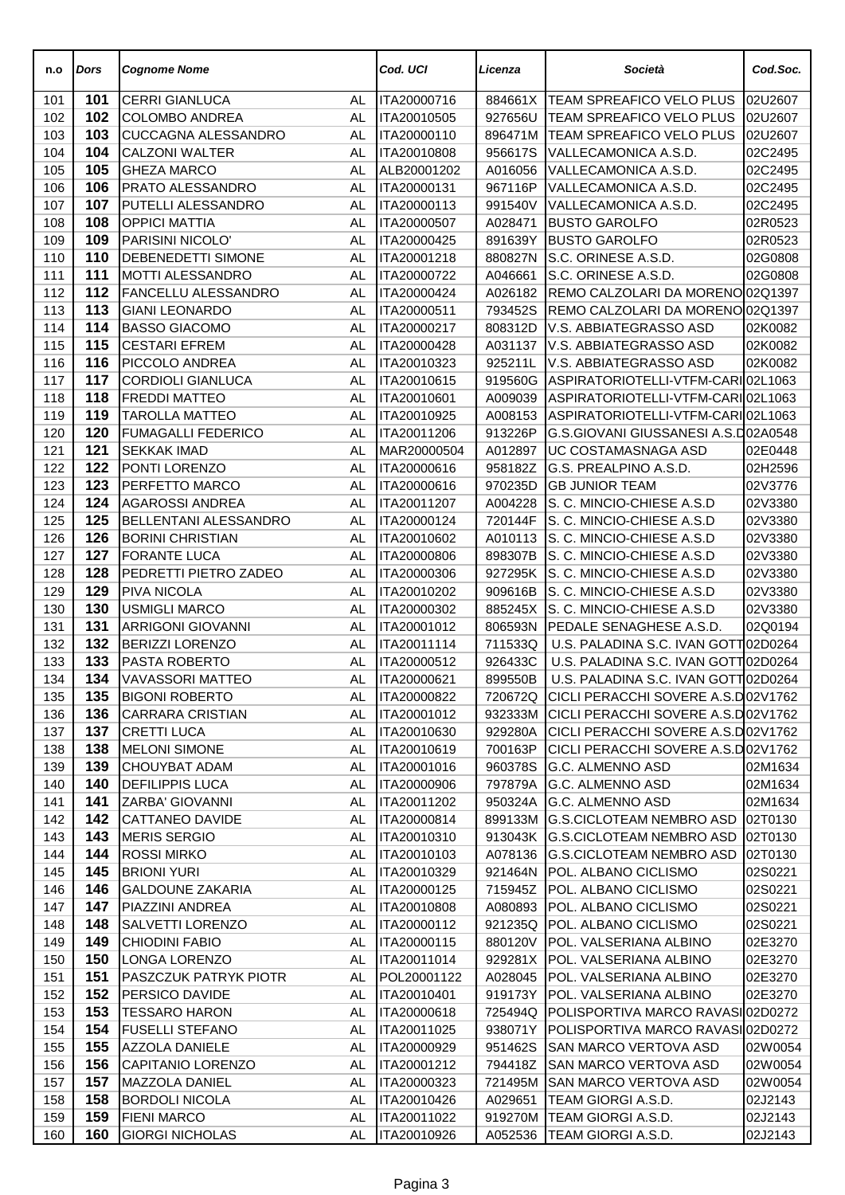| n.o        | Dors       | <b>Cognome Nome</b>                                 |          | Cod. UCI                   | Licenza            | Società                                                              | Cod.Soc.           |
|------------|------------|-----------------------------------------------------|----------|----------------------------|--------------------|----------------------------------------------------------------------|--------------------|
| 101        | 101        | <b>CERRI GIANLUCA</b>                               | AL       | ITA20000716                | 884661X            | TEAM SPREAFICO VELO PLUS                                             | 02U2607            |
| 102        | 102        | <b>COLOMBO ANDREA</b>                               | AL       | ITA20010505                | 927656U            | TEAM SPREAFICO VELO PLUS                                             | 02U2607            |
| 103        | 103        | CUCCAGNA ALESSANDRO                                 | AL       | ITA20000110                | 896471M            | TEAM SPREAFICO VELO PLUS                                             | 02U2607            |
| 104        | 104        | <b>CALZONI WALTER</b>                               | AL       | ITA20010808                | 956617S            | VALLECAMONICA A.S.D.                                                 | 02C2495            |
| 105        | 105        | <b>GHEZA MARCO</b>                                  | AL       | ALB20001202                | A016056            | VALLECAMONICA A.S.D.                                                 | 02C2495            |
| 106        | 106        | <b>PRATO ALESSANDRO</b>                             | AL       | ITA20000131                | 967116P            | VALLECAMONICA A.S.D.                                                 | 02C2495            |
| 107        | 107        | PUTELLI ALESSANDRO                                  | AL       | ITA20000113                | 991540V            | VALLECAMONICA A.S.D.                                                 | 02C2495            |
| 108        | 108        | <b>OPPICI MATTIA</b>                                | AL       | ITA20000507                | A028471            | <b>BUSTO GAROLFO</b>                                                 | 02R0523            |
| 109        | 109        | PARISINI NICOLO'                                    | AL.      | ITA20000425                | 891639Y            | <b>BUSTO GAROLFO</b>                                                 | 02R0523            |
| 110        | 110        | <b>DEBENEDETTI SIMONE</b>                           | AL       | ITA20001218                | 880827N            | S.C. ORINESE A.S.D.                                                  | 02G0808            |
| 111        | 111        | <b>MOTTI ALESSANDRO</b>                             | AL       | ITA20000722                | A046661            | S.C. ORINESE A.S.D.                                                  | 02G0808            |
| 112<br>113 | 112<br>113 | <b>FANCELLU ALESSANDRO</b><br><b>GIANI LEONARDO</b> | AL<br>AL | ITA20000424                | A026182            | REMO CALZOLARI DA MORENO 02Q1397<br>REMO CALZOLARI DA MORENO 02Q1397 |                    |
| 114        | 114        | <b>BASSO GIACOMO</b>                                | AL       | ITA20000511<br>ITA20000217 | 793452S<br>808312D | V.S. ABBIATEGRASSO ASD                                               | 02K0082            |
| 115        | 115        | <b>CESTARI EFREM</b>                                | AL       | ITA20000428                | A031137            | V.S. ABBIATEGRASSO ASD                                               | 02K0082            |
| 116        | 116        | <b>PICCOLO ANDREA</b>                               | AL       | ITA20010323                | 925211L            | V.S. ABBIATEGRASSO ASD                                               | 02K0082            |
| 117        | 117        | <b>CORDIOLI GIANLUCA</b>                            | AL       | ITA20010615                | 919560G            | ASPIRATORIOTELLI-VTFM-CARIO2L1063                                    |                    |
| 118        | 118        | <b>FREDDI MATTEO</b>                                | AL       | ITA20010601                | A009039            | ASPIRATORIOTELLI-VTFM-CARIO2L1063                                    |                    |
| 119        | 119        | <b>TAROLLA MATTEO</b>                               | AL       | ITA20010925                | A008153            | ASPIRATORIOTELLI-VTFM-CARIO2L1063                                    |                    |
| 120        | 120        | <b>FUMAGALLI FEDERICO</b>                           | AL       | ITA20011206                | 913226P            | G.S.GIOVANI GIUSSANESI A.S.D02A0548                                  |                    |
| 121        | 121        | <b>SEKKAK IMAD</b>                                  | AL       | MAR20000504                | A012897            | UC COSTAMASNAGA ASD                                                  | 02E0448            |
| 122        | 122        | PONTI LORENZO                                       | AL       | ITA20000616                | 958182Z            | G.S. PREALPINO A.S.D.                                                | 02H2596            |
| 123        | 123        | <b>PERFETTO MARCO</b>                               | AL       | ITA20000616                | 970235D            | <b>GB JUNIOR TEAM</b>                                                | 02V3776            |
| 124        | 124        | <b>AGAROSSI ANDREA</b>                              | AL       | ITA20011207                | A004228            | S. C. MINCIO-CHIESE A.S.D                                            | 02V3380            |
| 125        | 125        | <b>BELLENTANI ALESSANDRO</b>                        | AL       | ITA20000124                | 720144F            | S. C. MINCIO-CHIESE A.S.D                                            | 02V3380            |
| 126        | 126        | <b>BORINI CHRISTIAN</b>                             | AL       | ITA20010602                | A010113            | S. C. MINCIO-CHIESE A.S.D                                            | 02V3380            |
| 127        | 127        | <b>FORANTE LUCA</b>                                 | AL       | ITA20000806                | 898307B            | S. C. MINCIO-CHIESE A.S.D                                            | 02V3380            |
| 128        | 128        | PEDRETTI PIETRO ZADEO                               | AL       | ITA20000306                | 927295K            | S. C. MINCIO-CHIESE A.S.D                                            | 02V3380            |
| 129        | 129        | <b>PIVA NICOLA</b>                                  | AL       | ITA20010202                | 909616B            | S. C. MINCIO-CHIESE A.S.D                                            | 02V3380            |
| 130        | 130        | <b>USMIGLI MARCO</b>                                | AL       | ITA20000302                | 885245X            | S. C. MINCIO-CHIESE A.S.D                                            | 02V3380            |
| 131        | 131        | <b>ARRIGONI GIOVANNI</b>                            | AL       | ITA20001012                | 806593N            | PEDALE SENAGHESE A.S.D.                                              | 02Q0194            |
| 132        | 132        | <b>BERIZZI LORENZO</b>                              | AL       | ITA20011114                | 711533Q            | U.S. PALADINA S.C. IVAN GOTT 02D0264                                 |                    |
| 133        | 133        | PASTA ROBERTO                                       | AL       | ITA20000512                | 926433C            | U.S. PALADINA S.C. IVAN GOTT 02D0264                                 |                    |
| 134        | 134        | <b>VAVASSORI MATTEO</b>                             | AL       | ITA20000621                | 899550B            | U.S. PALADINA S.C. IVAN GOTT 02D0264                                 |                    |
| 135        | 135        | <b>BIGONI ROBERTO</b>                               | AL       | ITA20000822                |                    | 720672Q CICLI PERACCHI SOVERE A.S.D02V1762                           |                    |
| 136        | 136        | <b>CARRARA CRISTIAN</b>                             | AL       | ITA20001012                | 932333M            | CICLI PERACCHI SOVERE A.S.D02V1762                                   |                    |
| 137        | 137        | <b>CRETTI LUCA</b>                                  | AL       | ITA20010630                | 929280A            | CICLI PERACCHI SOVERE A.S.D02V1762                                   |                    |
| 138        | 138        | <b>MELONI SIMONE</b>                                | AL       | ITA20010619                | 700163P            | CICLI PERACCHI SOVERE A.S.D02V1762                                   |                    |
| 139        | 139        | <b>CHOUYBAT ADAM</b>                                | AL       | ITA20001016                | 960378S            | G.C. ALMENNO ASD                                                     | 02M1634            |
| 140        | 140        | <b>DEFILIPPIS LUCA</b>                              | AL       | ITA20000906                | 797879A            | G.C. ALMENNO ASD                                                     | 02M1634            |
| 141        | 141        | ZARBA' GIOVANNI                                     | AL       | ITA20011202                | 950324A            | <b>G.C. ALMENNO ASD</b>                                              | 02M1634            |
| 142        | 142        | <b>CATTANEO DAVIDE</b>                              | AL       | ITA20000814                | 899133M            | <b>G.S.CICLOTEAM NEMBRO ASD</b>                                      | 02T0130            |
| 143        | 143        | MERIS SERGIO                                        | AL       | ITA20010310                |                    | 913043K G.S.CICLOTEAM NEMBRO ASD                                     | 02T0130            |
| 144        | 144        | <b>ROSSI MIRKO</b>                                  | AL       | ITA20010103                |                    | A078136 G.S.CICLOTEAM NEMBRO ASD                                     | 02T0130            |
| 145        | 145        | <b>BRIONI YURI</b>                                  | AL       | ITA20010329                | 921464N            | POL. ALBANO CICLISMO                                                 | 02S0221            |
| 146        | 146        | <b>GALDOUNE ZAKARIA</b>                             | AL       | ITA20000125                | 715945Z            | POL. ALBANO CICLISMO                                                 | 02S0221            |
| 147        | 147        | PIAZZINI ANDREA                                     | AL       | ITA20010808                | A080893            | POL. ALBANO CICLISMO                                                 | 02S0221            |
| 148        | 148<br>149 | <b>SALVETTI LORENZO</b>                             | AL       | ITA20000112                | 921235Q            | POL. ALBANO CICLISMO                                                 | 02S0221            |
| 149        | 150        | <b>CHIODINI FABIO</b><br><b>LONGA LORENZO</b>       | AL       | ITA20000115<br>ITA20011014 | 880120V            | <b>POL. VALSERIANA ALBINO</b><br>POL. VALSERIANA ALBINO              | 02E3270            |
| 150<br>151 | 151        | <b>PASZCZUK PATRYK PIOTR</b>                        | AL<br>AL | POL20001122                | 929281X<br>A028045 | POL. VALSERIANA ALBINO                                               | 02E3270<br>02E3270 |
| 152        | 152        | PERSICO DAVIDE                                      | AL       | ITA20010401                | 919173Y            | POL. VALSERIANA ALBINO                                               | 02E3270            |
| 153        | 153        | <b>TESSARO HARON</b>                                | AL       | ITA20000618                | 725494Q            | POLISPORTIVA MARCO RAVASI 02D0272                                    |                    |
| 154        | 154        | <b>FUSELLI STEFANO</b>                              | AL       | ITA20011025                | 938071Y            | POLISPORTIVA MARCO RAVASI 02D0272                                    |                    |
| 155        | 155        | <b>AZZOLA DANIELE</b>                               | AL       | ITA20000929                | 951462S            | SAN MARCO VERTOVA ASD                                                | 02W0054            |
| 156        | 156        | CAPITANIO LORENZO                                   | AL       | ITA20001212                | 794418Z            | SAN MARCO VERTOVA ASD                                                | 02W0054            |
| 157        | 157        | MAZZOLA DANIEL                                      | AL       | ITA20000323                | 721495M            | <b>SAN MARCO VERTOVA ASD</b>                                         | 02W0054            |
| 158        | 158        | <b>BORDOLI NICOLA</b>                               | AL       | ITA20010426                | A029651            | TEAM GIORGI A.S.D.                                                   | 02J2143            |
| 159        | 159        | <b>FIENI MARCO</b>                                  | AL       | ITA20011022                | 919270M            | TEAM GIORGI A.S.D.                                                   | 02J2143            |
| 160        | 160        | <b>GIORGI NICHOLAS</b>                              | AL       | ITA20010926                | A052536            | TEAM GIORGI A.S.D.                                                   | 02J2143            |
|            |            |                                                     |          |                            |                    |                                                                      |                    |